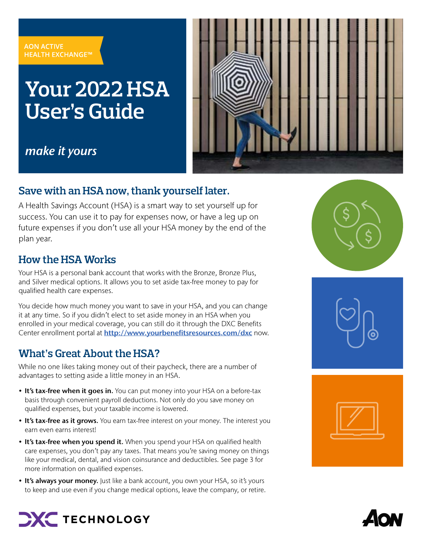#### **AON ACTIVE HEALTH EXCHANGE™**

# **Your 2022 HSA User's Guide**



## make it yours

### **Save with an HSA now, thank yourself later.**

A Health Savings Account (HSA) is a smart way to set yourself up for success. You can use it to pay for expenses now, or have a leg up on future expenses if you don't use all your HSA money by the end of the plan year.

### **How the HSA Works**

Your HSA is a personal bank account that works with the Bronze, Bronze Plus, and Silver medical options. It allows you to set aside tax-free money to pay for qualified health care expenses.

You decide how much money you want to save in your HSA, and you can change it at any time. So if you didn't elect to set aside money in an HSA when you enrolled in your medical coverage, you can still do it through the DXC Benefits Center enrollment portal at [http://www.yourbenefitsresources.com/dxc](https://leplb0490.upoint.alight.com/web/csc/login?forkPage=false#/routing) now.

### **What's Great About the HSA?**

While no one likes taking money out of their paycheck, there are a number of advantages to setting aside a little money in an HSA.

- It's tax-free when it goes in. You can put money into your HSA on a before-tax basis through convenient payroll deductions. Not only do you save money on qualified expenses, but your taxable income is lowered.
- It's tax-free as it grows. You earn tax-free interest on your money. The interest you earn even earns interest!
- It's tax-free when you spend it. When you spend your HSA on qualified health care expenses, you don't pay any taxes. That means you're saving money on things like your medical, dental, and vision coinsurance and deductibles. See page 3 for more information on qualified expenses.
- It's always your money. Just like a bank account, you own your HSA, so it's yours to keep and use even if you change medical options, leave the company, or retire.







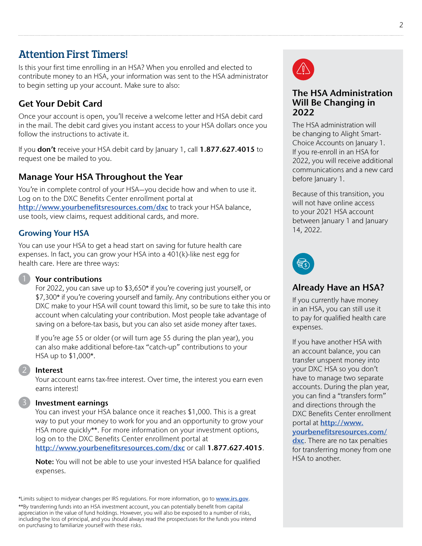### **Attention First Timers!**

Is this your first time enrolling in an HSA? When you enrolled and elected to contribute money to an HSA, your information was sent to the HSA administrator to begin setting up your account. Make sure to also:

### Get Your Debit Card

Once your account is open, you'll receive a welcome letter and HSA debit card in the mail. The debit card gives you instant access to your HSA dollars once you follow the instructions to activate it.

If you don't receive your HSA debit card by January 1, call 1.877.627.4015 to request one be mailed to you.

### Manage Your HSA Throughout the Year

You're in complete control of your HSA—you decide how and when to use it. Log on to the DXC Benefits Center enrollment portal at [http://www.yourbenefitsresources.com/dxc](https://leplb0490.upoint.alight.com/web/csc/login?forkPage=false) to track your HSA balance, use tools, view claims, request additional cards, and more.

### Growing Your HSA

You can use your HSA to get a head start on saving for future health care expenses. In fact, you can grow your HSA into a 401(k)-like nest egg for health care. Here are three ways:

### Your contributions

For 2022, you can save up to \$3,650\* if you're covering just yourself, or \$7,300\* if you're covering yourself and family. Any contributions either you or DXC make to your HSA will count toward this limit, so be sure to take this into account when calculating your contribution. Most people take advantage of saving on a before-tax basis, but you can also set aside money after taxes.

If you're age 55 or older (or will turn age 55 during the plan year), you can also make additional before-tax "catch-up" contributions to your HSA up to \$1,000\*.

#### Interest

2

Your account earns tax-free interest. Over time, the interest you earn even earns interest!

#### Investment earnings

You can invest your HSA balance once it reaches \$1,000. This is a great way to put your money to work for you and an opportunity to grow your HSA more quickly\*\*. For more information on your investment options, log on to the DXC Benefits Center enrollment portal at [http://www.yourbenefitsresources.com/dxc](https://leplb0490.upoint.alight.com/web/csc/login?forkPage=false#/rout) or call 1.877.627.4015.

Note: You will not be able to use your invested HSA balance for qualified expenses.

\*Limits subject to midyear changes per IRS regulations. For more information, go to [www.irs.gov](https://www.irs.gov). \*\*By transferring funds into an HSA investment account, you can potentially benefit from capital appreciation in the value of fund holdings. However, you will also be exposed to a number of risks, including the loss of principal, and you should always read the prospectuses for the funds you intend on purchasing to familiarize yourself with these risks.



#### The HSA Administration Will Be Changing in 2022

The HSA administration will be changing to Alight Smart-Choice Accounts on January 1. If you re-enroll in an HSA for 2022, you will receive additional communications and a new card before January 1.

Because of this transition, you will not have online access to your 2021 HSA account between January 1 and January 14, 2022.



### Already Have an HSA?

If you currently have money in an HSA, you can still use it to pay for qualified health care expenses.

If you have another HSA with an account balance, you can transfer unspent money into your DXC HSA so you don't have to manage two separate accounts. During the plan year, you can find a "transfers form" and directions through the DXC Benefits Center enrollment portal at **[http://www.](http://www.yourbenefitsresources.com/dxc)** 

#### [yourbenefitsresources.com/](http://www.yourbenefitsresources.com/dxc)

[dxc](http://www.yourbenefitsresources.com/dxc). There are no tax penalties for transferring money from one HSA to another.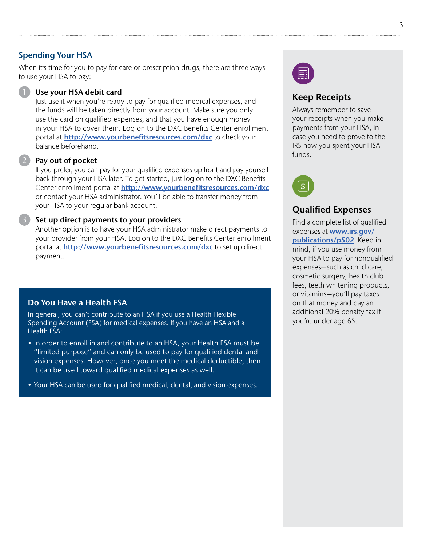#### Spending Your HSA

When it's time for you to pay for care or prescription drugs, there are three ways to use your HSA to pay:

#### Use your HSA debit card

Just use it when you're ready to pay for qualified medical expenses, and the funds will be taken directly from your account. Make sure you only use the card on qualified expenses, and that you have enough money in your HSA to cover them. Log on to the DXC Benefits Center enrollment portal at [http://www.yourbenefitsresources.com/dxc](https://leplb0490.upoint.alight.com/web/csc/login?forkPage=false) to check your balance beforehand.

#### Pay out of pocket

If you prefer, you can pay for your qualified expenses up front and pay yourself back through your HSA later. To get started, just log on to the DXC Benefits Center enrollment portal at [http://www.yourbenefitsresources.com/dxc](https://leplb0490.upoint.alight.com/web/csc/login?forkPage=false) or contact your HSA administrator. You'll be able to transfer money from your HSA to your regular bank account.

#### Set up direct payments to your providers

Another option is to have your HSA administrator make direct payments to your provider from your HSA. Log on to the DXC Benefits Center enrollment portal at [http://www.yourbenefitsresources.com/dxc](https://leplb0490.upoint.alight.com/web/csc/login?forkPage=false) to set up direct payment.

#### Do You Have a Health FSA

In general, you can't contribute to an HSA if you use a Health Flexible Spending Account (FSA) for medical expenses. If you have an HSA and a Health FSA:

- In order to enroll in and contribute to an HSA, your Health FSA must be "limited purpose" and can only be used to pay for qualified dental and vision expenses. However, once you meet the medical deductible, then it can be used toward qualified medical expenses as well.
- Your HSA can be used for qualified medical, dental, and vision expenses.



### Keep Receipts

Always remember to save your receipts when you make payments from your HSA, in case you need to prove to the IRS how you spent your HSA funds.



### Qualified Expenses

Find a complete list of qualified expenses at **[www.irs.gov/](https://www.irs.gov/publications/p502)** [publications/p502](https://www.irs.gov/publications/p502). Keep in mind, if you use money from your HSA to pay for nonqualified expenses—such as child care, cosmetic surgery, health club fees, teeth whitening products, or vitamins—you'll pay taxes on that money and pay an additional 20% penalty tax if you're under age 65.